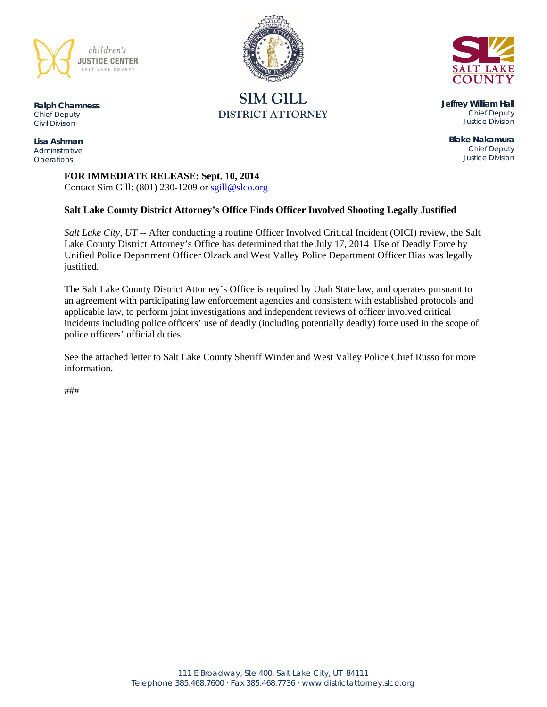

**Ralph Chamness**  *Chief Deputy Civil Division* 

**Lisa Ashman**  *Administrative Operations* 

# **SIM GILL DISTRICT ATTORNEY**



**Jeffrey William Hall**  *Chief Deputy Justice Division* 

**Blake Nakamura**  *Chief Deputy Justice Division* 

**FOR IMMEDIATE RELEASE: Sept. 10, 2014** Contact Sim Gill:  $(801)$  230-1209 or sgill@slco.org

#### **Salt Lake County District Attorney's Office Finds Officer Involved Shooting Legally Justified**

*Salt Lake City, UT* -- After conducting a routine Officer Involved Critical Incident (OICI) review, the Salt Lake County District Attorney's Office has determined that the July 17, 2014 Use of Deadly Force by Unified Police Department Officer Olzack and West Valley Police Department Officer Bias was legally justified.

The Salt Lake County District Attorney's Office is required by Utah State law, and operates pursuant to an agreement with participating law enforcement agencies and consistent with established protocols and applicable law, to perform joint investigations and independent reviews of officer involved critical incidents including police officers' use of deadly (including potentially deadly) force used in the scope of police officers' official duties.

See the attached letter to Salt Lake County Sheriff Winder and West Valley Police Chief Russo for more information.

###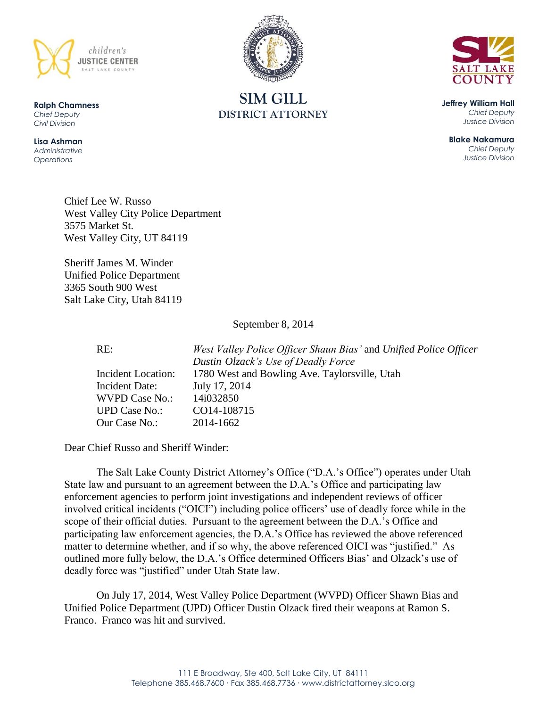



**SIM GILL DISTRICT ATTORNEY**

**Jeffrey William Hall** *Chief Deputy Justice Division*

**Blake Nakamura** *Chief Deputy Justice Division*

Chief Lee W. Russo West Valley City Police Department 3575 Market St. West Valley City, UT 84119

Sheriff James M. Winder Unified Police Department 3365 South 900 West Salt Lake City, Utah 84119

September 8, 2014

RE: *West Valley Police Officer Shaun Bias'* and *Unified Police Officer Dustin Olzack's Use of Deadly Force* Incident Location: 1780 West and Bowling Ave. Taylorsville, Utah Incident Date: July 17, 2014

Dear Chief Russo and Sheriff Winder:

The Salt Lake County District Attorney's Office ("D.A.'s Office") operates under Utah State law and pursuant to an agreement between the D.A.'s Office and participating law enforcement agencies to perform joint investigations and independent reviews of officer involved critical incidents ("OICI") including police officers' use of deadly force while in the scope of their official duties. Pursuant to the agreement between the D.A.'s Office and participating law enforcement agencies, the D.A.'s Office has reviewed the above referenced matter to determine whether, and if so why, the above referenced OICI was "justified." As outlined more fully below, the D.A.'s Office determined Officers Bias' and Olzack's use of deadly force was "justified" under Utah State law.

On July 17, 2014, West Valley Police Department (WVPD) Officer Shawn Bias and Unified Police Department (UPD) Officer Dustin Olzack fired their weapons at Ramon S. Franco. Franco was hit and survived.

WVPD Case No.: 14i032850 UPD Case No.: CO14-108715 Our Case No.: 2014-1662

**Ralph Chamness**  *Chief Deputy Civil Division*

**Lisa Ashman** *Administrative Operations*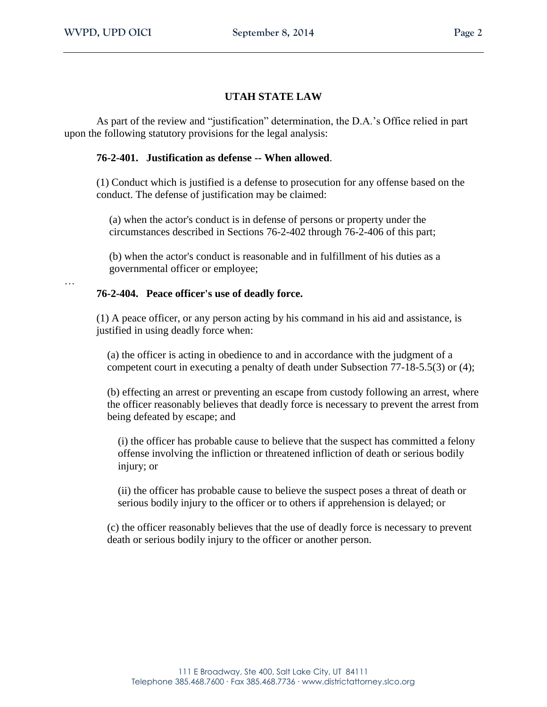…

# **UTAH STATE LAW**

As part of the review and "justification" determination, the D.A.'s Office relied in part upon the following statutory provisions for the legal analysis:

## **76-2-401. Justification as defense -- When allowed**.

(1) Conduct which is justified is a defense to prosecution for any offense based on the conduct. The defense of justification may be claimed:

(a) when the actor's conduct is in defense of persons or property under the circumstances described in Sections 76-2-402 through 76-2-406 of this part;

(b) when the actor's conduct is reasonable and in fulfillment of his duties as a governmental officer or employee;

# **76-2-404. Peace officer's use of deadly force.**

(1) A peace officer, or any person acting by his command in his aid and assistance, is justified in using deadly force when:

(a) the officer is acting in obedience to and in accordance with the judgment of a competent court in executing a penalty of death under Subsection 77-18-5.5(3) or (4);

(b) effecting an arrest or preventing an escape from custody following an arrest, where the officer reasonably believes that deadly force is necessary to prevent the arrest from being defeated by escape; and

(i) the officer has probable cause to believe that the suspect has committed a felony offense involving the infliction or threatened infliction of death or serious bodily injury; or

(ii) the officer has probable cause to believe the suspect poses a threat of death or serious bodily injury to the officer or to others if apprehension is delayed; or

(c) the officer reasonably believes that the use of deadly force is necessary to prevent death or serious bodily injury to the officer or another person.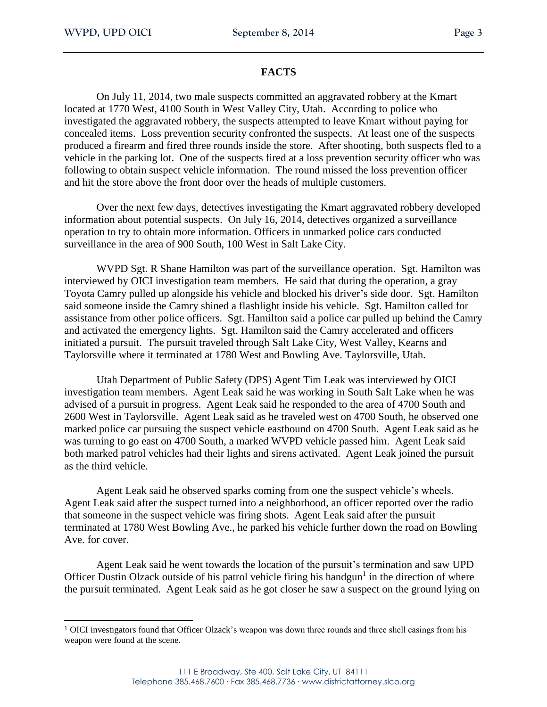#### **FACTS**

On July 11, 2014, two male suspects committed an aggravated robbery at the Kmart located at 1770 West, 4100 South in West Valley City, Utah. According to police who investigated the aggravated robbery, the suspects attempted to leave Kmart without paying for concealed items. Loss prevention security confronted the suspects. At least one of the suspects produced a firearm and fired three rounds inside the store. After shooting, both suspects fled to a vehicle in the parking lot. One of the suspects fired at a loss prevention security officer who was following to obtain suspect vehicle information. The round missed the loss prevention officer and hit the store above the front door over the heads of multiple customers.

Over the next few days, detectives investigating the Kmart aggravated robbery developed information about potential suspects. On July 16, 2014, detectives organized a surveillance operation to try to obtain more information. Officers in unmarked police cars conducted surveillance in the area of 900 South, 100 West in Salt Lake City.

WVPD Sgt. R Shane Hamilton was part of the surveillance operation. Sgt. Hamilton was interviewed by OICI investigation team members. He said that during the operation, a gray Toyota Camry pulled up alongside his vehicle and blocked his driver's side door. Sgt. Hamilton said someone inside the Camry shined a flashlight inside his vehicle. Sgt. Hamilton called for assistance from other police officers. Sgt. Hamilton said a police car pulled up behind the Camry and activated the emergency lights. Sgt. Hamilton said the Camry accelerated and officers initiated a pursuit. The pursuit traveled through Salt Lake City, West Valley, Kearns and Taylorsville where it terminated at 1780 West and Bowling Ave. Taylorsville, Utah.

Utah Department of Public Safety (DPS) Agent Tim Leak was interviewed by OICI investigation team members. Agent Leak said he was working in South Salt Lake when he was advised of a pursuit in progress. Agent Leak said he responded to the area of 4700 South and 2600 West in Taylorsville. Agent Leak said as he traveled west on 4700 South, he observed one marked police car pursuing the suspect vehicle eastbound on 4700 South. Agent Leak said as he was turning to go east on 4700 South, a marked WVPD vehicle passed him. Agent Leak said both marked patrol vehicles had their lights and sirens activated. Agent Leak joined the pursuit as the third vehicle.

Agent Leak said he observed sparks coming from one the suspect vehicle's wheels. Agent Leak said after the suspect turned into a neighborhood, an officer reported over the radio that someone in the suspect vehicle was firing shots. Agent Leak said after the pursuit terminated at 1780 West Bowling Ave., he parked his vehicle further down the road on Bowling Ave. for cover.

Agent Leak said he went towards the location of the pursuit's termination and saw UPD Officer Dustin Olzack outside of his patrol vehicle firing his handgun<sup>1</sup> in the direction of where the pursuit terminated. Agent Leak said as he got closer he saw a suspect on the ground lying on

<sup>1</sup> OICI investigators found that Officer Olzack's weapon was down three rounds and three shell casings from his weapon were found at the scene.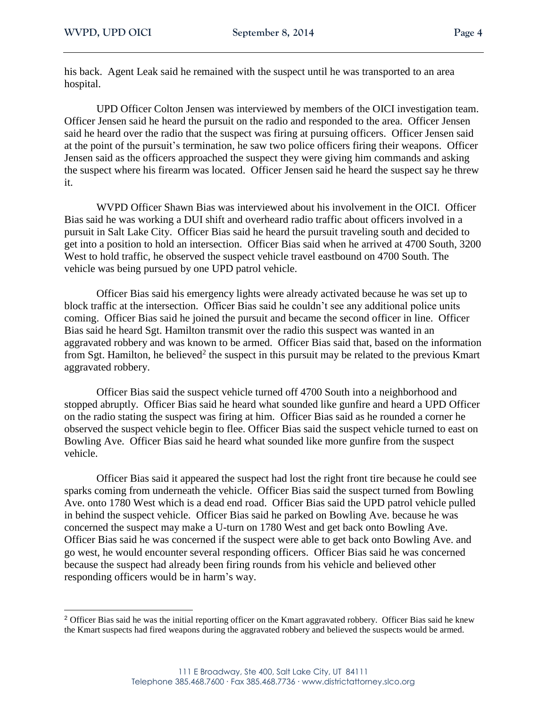his back. Agent Leak said he remained with the suspect until he was transported to an area hospital.

UPD Officer Colton Jensen was interviewed by members of the OICI investigation team. Officer Jensen said he heard the pursuit on the radio and responded to the area. Officer Jensen said he heard over the radio that the suspect was firing at pursuing officers. Officer Jensen said at the point of the pursuit's termination, he saw two police officers firing their weapons. Officer Jensen said as the officers approached the suspect they were giving him commands and asking the suspect where his firearm was located. Officer Jensen said he heard the suspect say he threw it.

WVPD Officer Shawn Bias was interviewed about his involvement in the OICI. Officer Bias said he was working a DUI shift and overheard radio traffic about officers involved in a pursuit in Salt Lake City. Officer Bias said he heard the pursuit traveling south and decided to get into a position to hold an intersection. Officer Bias said when he arrived at 4700 South, 3200 West to hold traffic, he observed the suspect vehicle travel eastbound on 4700 South. The vehicle was being pursued by one UPD patrol vehicle.

Officer Bias said his emergency lights were already activated because he was set up to block traffic at the intersection. Officer Bias said he couldn't see any additional police units coming. Officer Bias said he joined the pursuit and became the second officer in line. Officer Bias said he heard Sgt. Hamilton transmit over the radio this suspect was wanted in an aggravated robbery and was known to be armed. Officer Bias said that, based on the information from Sgt. Hamilton, he believed<sup>2</sup> the suspect in this pursuit may be related to the previous Kmart aggravated robbery.

Officer Bias said the suspect vehicle turned off 4700 South into a neighborhood and stopped abruptly. Officer Bias said he heard what sounded like gunfire and heard a UPD Officer on the radio stating the suspect was firing at him. Officer Bias said as he rounded a corner he observed the suspect vehicle begin to flee. Officer Bias said the suspect vehicle turned to east on Bowling Ave. Officer Bias said he heard what sounded like more gunfire from the suspect vehicle.

Officer Bias said it appeared the suspect had lost the right front tire because he could see sparks coming from underneath the vehicle. Officer Bias said the suspect turned from Bowling Ave. onto 1780 West which is a dead end road. Officer Bias said the UPD patrol vehicle pulled in behind the suspect vehicle. Officer Bias said he parked on Bowling Ave. because he was concerned the suspect may make a U-turn on 1780 West and get back onto Bowling Ave. Officer Bias said he was concerned if the suspect were able to get back onto Bowling Ave. and go west, he would encounter several responding officers. Officer Bias said he was concerned because the suspect had already been firing rounds from his vehicle and believed other responding officers would be in harm's way.

<sup>2</sup> Officer Bias said he was the initial reporting officer on the Kmart aggravated robbery. Officer Bias said he knew the Kmart suspects had fired weapons during the aggravated robbery and believed the suspects would be armed.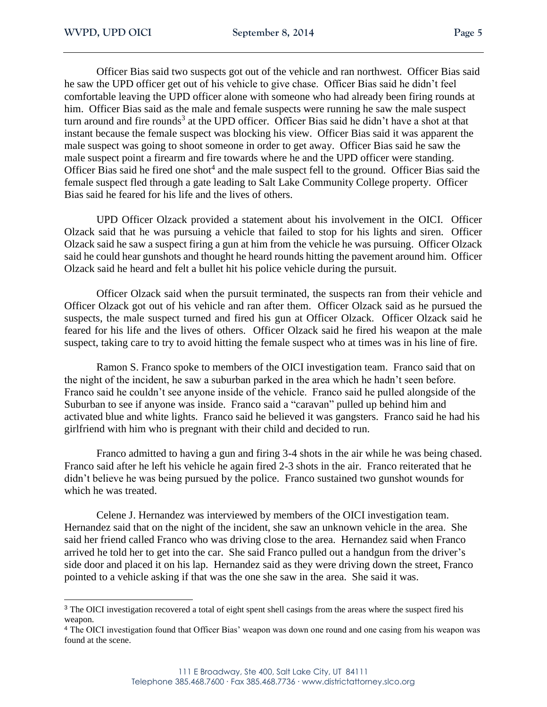$\overline{a}$ 

Officer Bias said two suspects got out of the vehicle and ran northwest. Officer Bias said he saw the UPD officer get out of his vehicle to give chase. Officer Bias said he didn't feel comfortable leaving the UPD officer alone with someone who had already been firing rounds at him. Officer Bias said as the male and female suspects were running he saw the male suspect turn around and fire rounds<sup>3</sup> at the UPD officer. Officer Bias said he didn't have a shot at that instant because the female suspect was blocking his view. Officer Bias said it was apparent the male suspect was going to shoot someone in order to get away. Officer Bias said he saw the male suspect point a firearm and fire towards where he and the UPD officer were standing. Officer Bias said he fired one shot<sup>4</sup> and the male suspect fell to the ground. Officer Bias said the female suspect fled through a gate leading to Salt Lake Community College property. Officer Bias said he feared for his life and the lives of others.

UPD Officer Olzack provided a statement about his involvement in the OICI. Officer Olzack said that he was pursuing a vehicle that failed to stop for his lights and siren. Officer Olzack said he saw a suspect firing a gun at him from the vehicle he was pursuing. Officer Olzack said he could hear gunshots and thought he heard rounds hitting the pavement around him. Officer Olzack said he heard and felt a bullet hit his police vehicle during the pursuit.

Officer Olzack said when the pursuit terminated, the suspects ran from their vehicle and Officer Olzack got out of his vehicle and ran after them. Officer Olzack said as he pursued the suspects, the male suspect turned and fired his gun at Officer Olzack. Officer Olzack said he feared for his life and the lives of others. Officer Olzack said he fired his weapon at the male suspect, taking care to try to avoid hitting the female suspect who at times was in his line of fire.

Ramon S. Franco spoke to members of the OICI investigation team. Franco said that on the night of the incident, he saw a suburban parked in the area which he hadn't seen before. Franco said he couldn't see anyone inside of the vehicle. Franco said he pulled alongside of the Suburban to see if anyone was inside. Franco said a "caravan" pulled up behind him and activated blue and white lights. Franco said he believed it was gangsters. Franco said he had his girlfriend with him who is pregnant with their child and decided to run.

Franco admitted to having a gun and firing 3-4 shots in the air while he was being chased. Franco said after he left his vehicle he again fired 2-3 shots in the air. Franco reiterated that he didn't believe he was being pursued by the police. Franco sustained two gunshot wounds for which he was treated.

Celene J. Hernandez was interviewed by members of the OICI investigation team. Hernandez said that on the night of the incident, she saw an unknown vehicle in the area. She said her friend called Franco who was driving close to the area. Hernandez said when Franco arrived he told her to get into the car. She said Franco pulled out a handgun from the driver's side door and placed it on his lap. Hernandez said as they were driving down the street, Franco pointed to a vehicle asking if that was the one she saw in the area. She said it was.

<sup>&</sup>lt;sup>3</sup> The OICI investigation recovered a total of eight spent shell casings from the areas where the suspect fired his weapon.

<sup>4</sup> The OICI investigation found that Officer Bias' weapon was down one round and one casing from his weapon was found at the scene.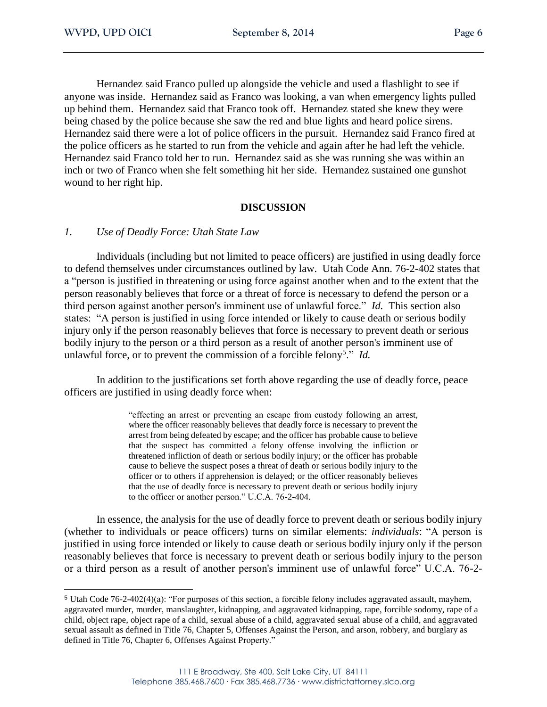Hernandez said Franco pulled up alongside the vehicle and used a flashlight to see if anyone was inside. Hernandez said as Franco was looking, a van when emergency lights pulled up behind them. Hernandez said that Franco took off. Hernandez stated she knew they were being chased by the police because she saw the red and blue lights and heard police sirens. Hernandez said there were a lot of police officers in the pursuit. Hernandez said Franco fired at the police officers as he started to run from the vehicle and again after he had left the vehicle. Hernandez said Franco told her to run. Hernandez said as she was running she was within an inch or two of Franco when she felt something hit her side. Hernandez sustained one gunshot wound to her right hip.

#### **DISCUSSION**

#### *1. Use of Deadly Force: Utah State Law*

Individuals (including but not limited to peace officers) are justified in using deadly force to defend themselves under circumstances outlined by law. Utah Code Ann. 76-2-402 states that a "person is justified in threatening or using force against another when and to the extent that the person reasonably believes that force or a threat of force is necessary to defend the person or a third person against another person's imminent use of unlawful force." *Id.* This section also states: "A person is justified in using force intended or likely to cause death or serious bodily injury only if the person reasonably believes that force is necessary to prevent death or serious bodily injury to the person or a third person as a result of another person's imminent use of unlawful force, or to prevent the commission of a forcible felony<sup>5</sup> ." *Id.*

In addition to the justifications set forth above regarding the use of deadly force, peace officers are justified in using deadly force when:

> "effecting an arrest or preventing an escape from custody following an arrest, where the officer reasonably believes that deadly force is necessary to prevent the arrest from being defeated by escape; and the officer has probable cause to believe that the suspect has committed a felony offense involving the infliction or threatened infliction of death or serious bodily injury; or the officer has probable cause to believe the suspect poses a threat of death or serious bodily injury to the officer or to others if apprehension is delayed; or the officer reasonably believes that the use of deadly force is necessary to prevent death or serious bodily injury to the officer or another person." U.C.A. 76-2-404.

In essence, the analysis for the use of deadly force to prevent death or serious bodily injury (whether to individuals or peace officers) turns on similar elements: *individuals*: "A person is justified in using force intended or likely to cause death or serious bodily injury only if the person reasonably believes that force is necessary to prevent death or serious bodily injury to the person or a third person as a result of another person's imminent use of unlawful force" U.C.A. 76-2-

<sup>5</sup> Utah Code 76-2-402(4)(a): "For purposes of this section, a forcible felony includes aggravated assault, mayhem, aggravated murder, murder, manslaughter, kidnapping, and aggravated kidnapping, rape, forcible sodomy, rape of a child, object rape, object rape of a child, sexual abuse of a child, aggravated sexual abuse of a child, and aggravated sexual assault as defined in Title 76, Chapter 5, Offenses Against the Person, and arson, robbery, and burglary as defined in Title 76, Chapter 6, Offenses Against Property."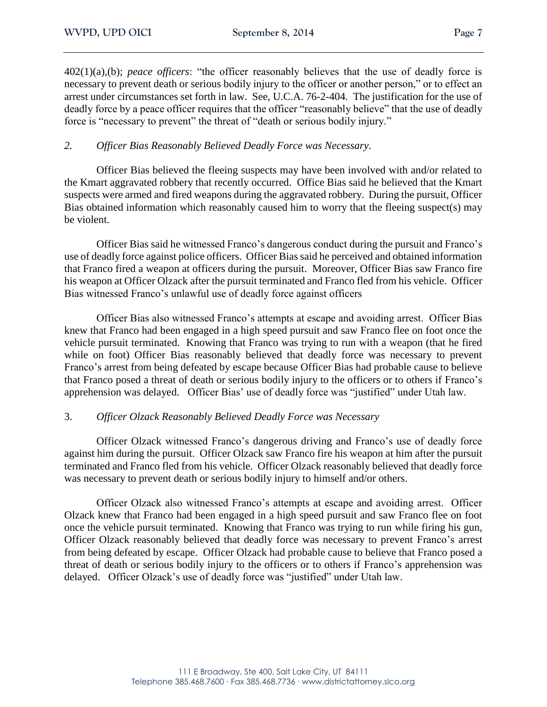402(1)(a),(b); *peace officers*: "the officer reasonably believes that the use of deadly force is necessary to prevent death or serious bodily injury to the officer or another person," or to effect an arrest under circumstances set forth in law. See, U.C.A. 76-2-404. The justification for the use of deadly force by a peace officer requires that the officer "reasonably believe" that the use of deadly force is "necessary to prevent" the threat of "death or serious bodily injury."

## *2. Officer Bias Reasonably Believed Deadly Force was Necessary*.

Officer Bias believed the fleeing suspects may have been involved with and/or related to the Kmart aggravated robbery that recently occurred. Office Bias said he believed that the Kmart suspects were armed and fired weapons during the aggravated robbery. During the pursuit, Officer Bias obtained information which reasonably caused him to worry that the fleeing suspect(s) may be violent.

Officer Bias said he witnessed Franco's dangerous conduct during the pursuit and Franco's use of deadly force against police officers. Officer Bias said he perceived and obtained information that Franco fired a weapon at officers during the pursuit. Moreover, Officer Bias saw Franco fire his weapon at Officer Olzack after the pursuit terminated and Franco fled from his vehicle. Officer Bias witnessed Franco's unlawful use of deadly force against officers

Officer Bias also witnessed Franco's attempts at escape and avoiding arrest. Officer Bias knew that Franco had been engaged in a high speed pursuit and saw Franco flee on foot once the vehicle pursuit terminated. Knowing that Franco was trying to run with a weapon (that he fired while on foot) Officer Bias reasonably believed that deadly force was necessary to prevent Franco's arrest from being defeated by escape because Officer Bias had probable cause to believe that Franco posed a threat of death or serious bodily injury to the officers or to others if Franco's apprehension was delayed. Officer Bias' use of deadly force was "justified" under Utah law.

#### 3. *Officer Olzack Reasonably Believed Deadly Force was Necessary*

Officer Olzack witnessed Franco's dangerous driving and Franco's use of deadly force against him during the pursuit. Officer Olzack saw Franco fire his weapon at him after the pursuit terminated and Franco fled from his vehicle. Officer Olzack reasonably believed that deadly force was necessary to prevent death or serious bodily injury to himself and/or others.

Officer Olzack also witnessed Franco's attempts at escape and avoiding arrest. Officer Olzack knew that Franco had been engaged in a high speed pursuit and saw Franco flee on foot once the vehicle pursuit terminated. Knowing that Franco was trying to run while firing his gun, Officer Olzack reasonably believed that deadly force was necessary to prevent Franco's arrest from being defeated by escape. Officer Olzack had probable cause to believe that Franco posed a threat of death or serious bodily injury to the officers or to others if Franco's apprehension was delayed. Officer Olzack's use of deadly force was "justified" under Utah law.